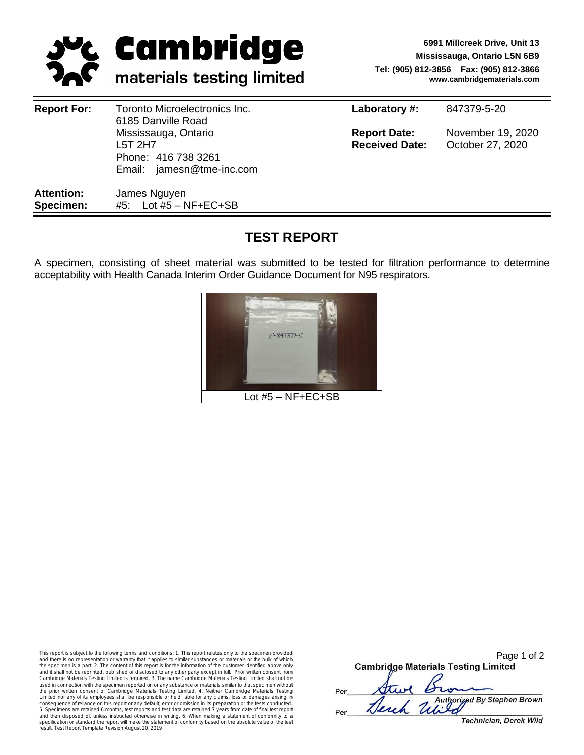

**6991 Millcreek Drive, Unit 13 Mississauga, Ontario L5N 6B9 Tel: (905) 812-3856 Fax: (905) 812-3866 www.cambridgematerials.com**

| <b>Report For:</b>             | Toronto Microelectronics Inc.<br>6185 Danville Road                                 | Laboratory #:                                | 847379-5-20                           |  |
|--------------------------------|-------------------------------------------------------------------------------------|----------------------------------------------|---------------------------------------|--|
|                                | Mississauga, Ontario<br>L5T 2H7<br>Phone: 416 738 3261<br>Email: jamesn@tme-inc.com | <b>Report Date:</b><br><b>Received Date:</b> | November 19, 2020<br>October 27, 2020 |  |
| <b>Attention:</b><br>Specimen: | James Nguyen<br>#5: Lot #5 $-$ NF+EC+SB                                             |                                              |                                       |  |

# **TEST REPORT**

A specimen, consisting of sheet material was submitted to be tested for filtration performance to determine acceptability with Health Canada Interim Order Guidance Document for N95 respirators.



This report is subject to the following terms and conditions: 1. This report relates only to the specimen provided and there is no representation or warranty that it applies to similar substances or materials or the bulk of which the specimen is a part. 2. The content of this report is for the information of the customer identified above only<br>and it shall not be reprinted, published or disclosed to any other party except in full. Prior written cons Cambridge Materials Testing Limited is required. 3. The name Cambridge Materials Testing Limited shall not be used in connection with the specimen reported on or any substance or materials similar to that specimen without the prior written consent of Cambridge Materials Testing Limited. 4. Neither Cambridge Materials Testing Limited nor any of its employees shall be responsible or held liable for any claims, loss or damages arising in consequence of reliance on this report or any default, error or omission in its preparation or the tests conducted.<br>5. Specimens are retained 6 months, test reports and test data are retained 7 years from date of final tes and then disposed of, unless instructed otherwise in writing. 6. When making a statement of conformity to a specification or standard the report will make the statement of conformity based on the absolute value of the test result. Test Report Template Revision August 20, 2019

|     | Page 1 of 2                                |  |  |  |  |  |  |
|-----|--------------------------------------------|--|--|--|--|--|--|
|     | <b>Cambridge Materials Testing Limited</b> |  |  |  |  |  |  |
|     |                                            |  |  |  |  |  |  |
| Per | the Bro                                    |  |  |  |  |  |  |
|     | Herch United By Stephen Brown              |  |  |  |  |  |  |
| Per |                                            |  |  |  |  |  |  |
|     | Technician, Derek Wild                     |  |  |  |  |  |  |